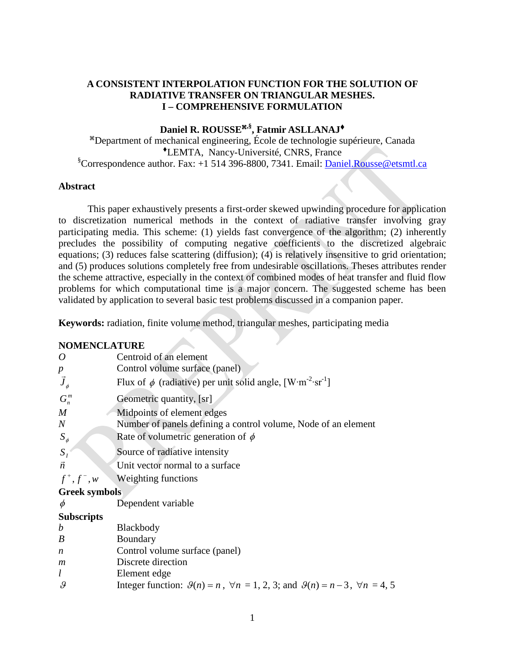## **A CONSISTENT INTERPOLATION FUNCTION FOR THE SOLUTION OF RADIATIVE TRANSFER ON TRIANGULAR MESHES. I – COMPREHENSIVE FORMULATION**

# Daniel R. ROUSSE<sup>\*,§</sup>, Fatmir ASLLANAJ<sup>+</sup>

Department of mechanical engineering, École de technologie supérieure, Canada LEMTA, Nancy-Université, CNRS, France <sup>§</sup>Correspondence author. Fax: +1 514 396-8800, 7341. Email: **Daniel.Rousse@etsmtl.ca** 

## **Abstract**

This paper exhaustively presents a first-order skewed upwinding procedure for application to discretization numerical methods in the context of radiative transfer involving gray participating media. This scheme: (1) yields fast convergence of the algorithm; (2) inherently precludes the possibility of computing negative coefficients to the discretized algebraic equations; (3) reduces false scattering (diffusion); (4) is relatively insensitive to grid orientation; and (5) produces solutions completely free from undesirable oscillations. Theses attributes render the scheme attractive, especially in the context of combined modes of heat transfer and fluid flow problems for which computational time is a major concern. The suggested scheme has been validated by application to several basic test problems discussed in a companion paper.

**Keywords:** radiation, finite volume method, triangular meshes, participating media

## **NOMENCLATURE**

| $\boldsymbol{O}$         | Centroid of an element                                                                                             |  |
|--------------------------|--------------------------------------------------------------------------------------------------------------------|--|
|                          | Control volume surface (panel)                                                                                     |  |
| $\frac{p}{\vec{J}_\phi}$ | Flux of $\phi$ (radiative) per unit solid angle, [W·m <sup>-2</sup> ·sr <sup>-1</sup> ]                            |  |
| $G_n^m$                  | Geometric quantity, [sr]                                                                                           |  |
| M                        | Midpoints of element edges                                                                                         |  |
| $\boldsymbol{N}$         | Number of panels defining a control volume, Node of an element                                                     |  |
| $S_{\phi}$               | Rate of volumetric generation of $\phi$                                                                            |  |
| $S_I$                    | Source of radiative intensity                                                                                      |  |
| $\vec{n}$                | Unit vector normal to a surface                                                                                    |  |
| $f^+, f^-, w$            | Weighting functions                                                                                                |  |
| <b>Greek symbols</b>     |                                                                                                                    |  |
| $\phi$                   | Dependent variable                                                                                                 |  |
| <b>Subscripts</b>        |                                                                                                                    |  |
| $\boldsymbol{b}$         | Blackbody                                                                                                          |  |
| $\boldsymbol{B}$         | Boundary                                                                                                           |  |
| n                        | Control volume surface (panel)                                                                                     |  |
| m                        | Discrete direction                                                                                                 |  |
| l                        | Element edge                                                                                                       |  |
| $\mathcal{G}$            | Integer function: $\mathcal{G}(n) = n$ , $\forall n = 1, 2, 3$ ; and $\mathcal{G}(n) = n - 3$ , $\forall n = 4, 5$ |  |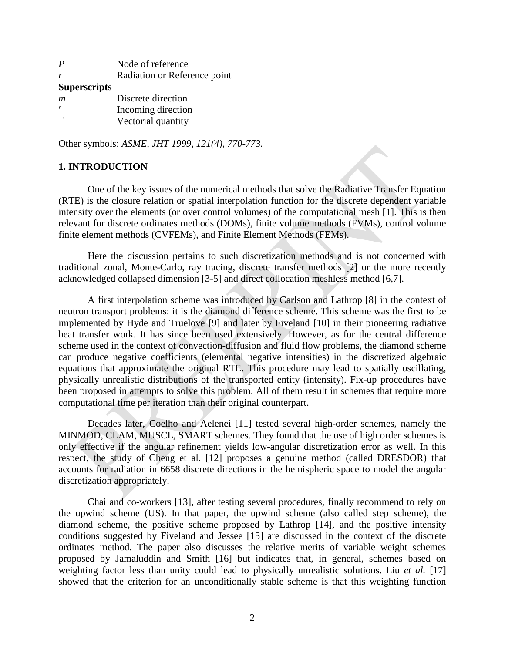| $\bm{P}$            | Node of reference            |
|---------------------|------------------------------|
|                     | Radiation or Reference point |
| <b>Superscripts</b> |                              |
| m                   | Discrete direction           |
|                     | Incoming direction           |
|                     | Vectorial quantity           |

Other symbols: *ASME, JHT 1999, 121(4), 770-773.*

## **1. INTRODUCTION**

One of the key issues of the numerical methods that solve the Radiative Transfer Equation (RTE) is the closure relation or spatial interpolation function for the discrete dependent variable intensity over the elements (or over control volumes) of the computational mesh [1]. This is then relevant for discrete ordinates methods (DOMs), finite volume methods (FVMs), control volume finite element methods (CVFEMs), and Finite Element Methods (FEMs).

Here the discussion pertains to such discretization methods and is not concerned with traditional zonal, Monte-Carlo, ray tracing, discrete transfer methods [2] or the more recently acknowledged collapsed dimension [3-5] and direct collocation meshless method [6,7].

A first interpolation scheme was introduced by Carlson and Lathrop [8] in the context of neutron transport problems: it is the diamond difference scheme. This scheme was the first to be implemented by Hyde and Truelove [9] and later by Fiveland [10] in their pioneering radiative heat transfer work. It has since been used extensively. However, as for the central difference scheme used in the context of convection-diffusion and fluid flow problems, the diamond scheme can produce negative coefficients (elemental negative intensities) in the discretized algebraic equations that approximate the original RTE. This procedure may lead to spatially oscillating, physically unrealistic distributions of the transported entity (intensity). Fix-up procedures have been proposed in attempts to solve this problem. All of them result in schemes that require more computational time per iteration than their original counterpart.

Decades later, Coelho and Aelenei [11] tested several high-order schemes, namely the MINMOD, CLAM, MUSCL, SMART schemes. They found that the use of high order schemes is only effective if the angular refinement yields low-angular discretization error as well. In this respect, the study of Cheng et al. [12] proposes a genuine method (called DRESDOR) that accounts for radiation in 6658 discrete directions in the hemispheric space to model the angular discretization appropriately.

Chai and co-workers [13], after testing several procedures, finally recommend to rely on the upwind scheme (US). In that paper, the upwind scheme (also called step scheme), the diamond scheme, the positive scheme proposed by Lathrop [14], and the positive intensity conditions suggested by Fiveland and Jessee [15] are discussed in the context of the discrete ordinates method. The paper also discusses the relative merits of variable weight schemes proposed by Jamaluddin and Smith [16] but indicates that, in general, schemes based on weighting factor less than unity could lead to physically unrealistic solutions. Liu *et al.* [17] showed that the criterion for an unconditionally stable scheme is that this weighting function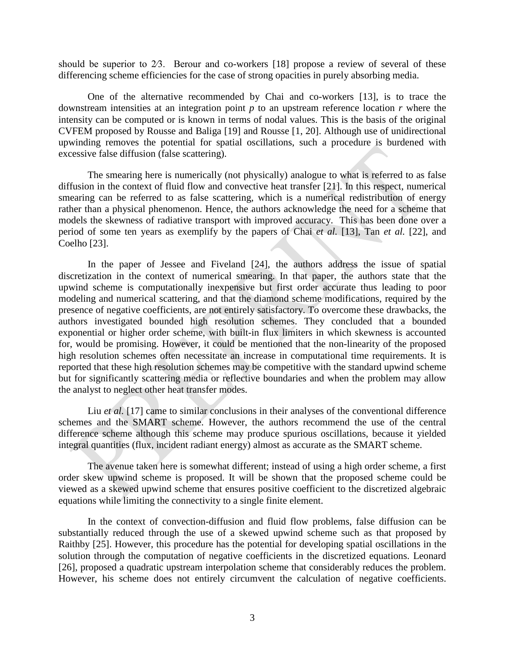should be superior to 2⁄3. Berour and co-workers [18] propose a review of several of these differencing scheme efficiencies for the case of strong opacities in purely absorbing media.

One of the alternative recommended by Chai and co-workers [13], is to trace the downstream intensities at an integration point *p* to an upstream reference location *r* where the intensity can be computed or is known in terms of nodal values. This is the basis of the original CVFEM proposed by Rousse and Baliga [19] and Rousse [1, 20]. Although use of unidirectional upwinding removes the potential for spatial oscillations, such a procedure is burdened with excessive false diffusion (false scattering).

The smearing here is numerically (not physically) analogue to what is referred to as false diffusion in the context of fluid flow and convective heat transfer [21]. In this respect, numerical smearing can be referred to as false scattering, which is a numerical redistribution of energy rather than a physical phenomenon. Hence, the authors acknowledge the need for a scheme that models the skewness of radiative transport with improved accuracy. This has been done over a period of some ten years as exemplify by the papers of Chai *et al.* [13], Tan *et al.* [22], and Coelho [23].

In the paper of Jessee and Fiveland [24], the authors address the issue of spatial discretization in the context of numerical smearing. In that paper, the authors state that the upwind scheme is computationally inexpensive but first order accurate thus leading to poor modeling and numerical scattering, and that the diamond scheme modifications, required by the presence of negative coefficients, are not entirely satisfactory. To overcome these drawbacks, the authors investigated bounded high resolution schemes. They concluded that a bounded exponential or higher order scheme, with built-in flux limiters in which skewness is accounted for, would be promising. However, it could be mentioned that the non-linearity of the proposed high resolution schemes often necessitate an increase in computational time requirements. It is reported that these high resolution schemes may be competitive with the standard upwind scheme but for significantly scattering media or reflective boundaries and when the problem may allow the analyst to neglect other heat transfer modes.

Liu *et al.* [17] came to similar conclusions in their analyses of the conventional difference schemes and the SMART scheme. However, the authors recommend the use of the central difference scheme although this scheme may produce spurious oscillations, because it yielded integral quantities (flux, incident radiant energy) almost as accurate as the SMART scheme.

The avenue taken here is somewhat different; instead of using a high order scheme, a first order skew upwind scheme is proposed. It will be shown that the proposed scheme could be viewed as a skewed upwind scheme that ensures positive coefficient to the discretized algebraic equations while limiting the connectivity to a single finite element.

In the context of convection-diffusion and fluid flow problems, false diffusion can be substantially reduced through the use of a skewed upwind scheme such as that proposed by Raithby [25]. However, this procedure has the potential for developing spatial oscillations in the solution through the computation of negative coefficients in the discretized equations. Leonard [26], proposed a quadratic upstream interpolation scheme that considerably reduces the problem. However, his scheme does not entirely circumvent the calculation of negative coefficients.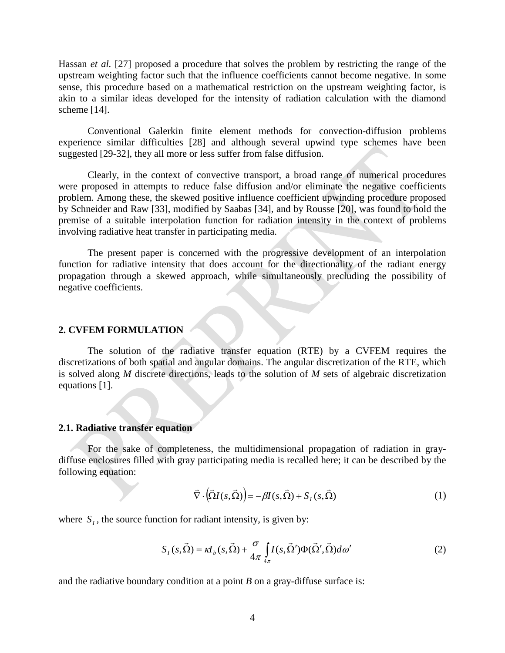Hassan *et al.* [27] proposed a procedure that solves the problem by restricting the range of the upstream weighting factor such that the influence coefficients cannot become negative. In some sense, this procedure based on a mathematical restriction on the upstream weighting factor, is akin to a similar ideas developed for the intensity of radiation calculation with the diamond scheme [14].

Conventional Galerkin finite element methods for convection-diffusion problems experience similar difficulties [28] and although several upwind type schemes have been suggested [29-32], they all more or less suffer from false diffusion.

Clearly, in the context of convective transport, a broad range of numerical procedures were proposed in attempts to reduce false diffusion and/or eliminate the negative coefficients problem. Among these, the skewed positive influence coefficient upwinding procedure proposed by Schneider and Raw [33], modified by Saabas [34], and by Rousse [20], was found to hold the premise of a suitable interpolation function for radiation intensity in the context of problems involving radiative heat transfer in participating media.

The present paper is concerned with the progressive development of an interpolation function for radiative intensity that does account for the directionality of the radiant energy propagation through a skewed approach, while simultaneously precluding the possibility of negative coefficients.

## **2. CVFEM FORMULATION**

The solution of the radiative transfer equation (RTE) by a CVFEM requires the discretizations of both spatial and angular domains. The angular discretization of the RTE, which is solved along *M* discrete directions, leads to the solution of *M* sets of algebraic discretization equations [1].

#### **2.1. Radiative transfer equation**

For the sake of completeness, the multidimensional propagation of radiation in graydiffuse enclosures filled with gray participating media is recalled here; it can be described by the following equation:

$$
\vec{\nabla} \cdot (\vec{\Omega} I(s, \vec{\Omega})) = -\beta I(s, \vec{\Omega}) + S_I(s, \vec{\Omega})
$$
\n(1)

where  $S_t$ , the source function for radiant intensity, is given by:

$$
S_I(s,\vec{\Omega}) = \kappa I_b(s,\vec{\Omega}) + \frac{\sigma}{4\pi} \int_{4\pi} I(s,\vec{\Omega}') \Phi(\vec{\Omega}',\vec{\Omega}) d\omega'
$$
 (2)

and the radiative boundary condition at a point *B* on a gray-diffuse surface is: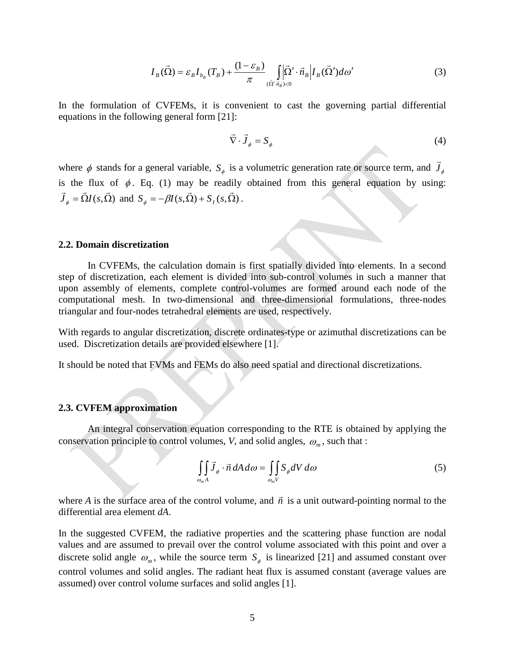$$
I_B(\vec{\Omega}) = \varepsilon_B I_{b_B}(T_B) + \frac{(1 - \varepsilon_B)}{\pi} \int_{(\vec{\Omega}', \vec{n}_B) < 0} \left| I_B(\vec{\Omega}') d\omega' \right| \tag{3}
$$

In the formulation of CVFEMs, it is convenient to cast the governing partial differential equations in the following general form [21]:

$$
\vec{\nabla} \cdot \vec{J}_{\phi} = S_{\phi} \tag{4}
$$

where  $\phi$  stands for a general variable,  $S_{\phi}$  is a volumetric generation rate or source term, and  $J_{\phi}$  $\overline{a}$ is the flux of  $\phi$ . Eq. (1) may be readily obtained from this general equation by using:  $\vec{J}_{\phi} = \vec{\Omega} I(s, \vec{\Omega})$  and  $S_{\phi} = -\beta I(s, \vec{\Omega}) + S_I(s, \vec{\Omega})$ .

## **2.2. Domain discretization**

In CVFEMs, the calculation domain is first spatially divided into elements. In a second step of discretization, each element is divided into sub-control volumes in such a manner that upon assembly of elements, complete control-volumes are formed around each node of the computational mesh. In two-dimensional and three-dimensional formulations, three-nodes triangular and four-nodes tetrahedral elements are used, respectively.

With regards to angular discretization, discrete ordinates-type or azimuthal discretizations can be used. Discretization details are provided elsewhere [1].

It should be noted that FVMs and FEMs do also need spatial and directional discretizations.

## **2.3. CVFEM approximation**

An integral conservation equation corresponding to the RTE is obtained by applying the conservation principle to control volumes, *V*, and solid angles,  $\omega_m$ , such that :

$$
\iint_{\omega_m A} \vec{J}_{\phi} \cdot \vec{n} \, dA \, d\omega = \iint_{\omega_m V} S_{\phi} dV \, d\omega \tag{5}
$$

where *A* is the surface area of the control volume, and  $\vec{n}$  is a unit outward-pointing normal to the differential area element *dA*.

In the suggested CVFEM, the radiative properties and the scattering phase function are nodal values and are assumed to prevail over the control volume associated with this point and over a discrete solid angle  $\omega_m$ , while the source term  $S_{\phi}$  is linearized [21] and assumed constant over control volumes and solid angles. The radiant heat flux is assumed constant (average values are assumed) over control volume surfaces and solid angles [1].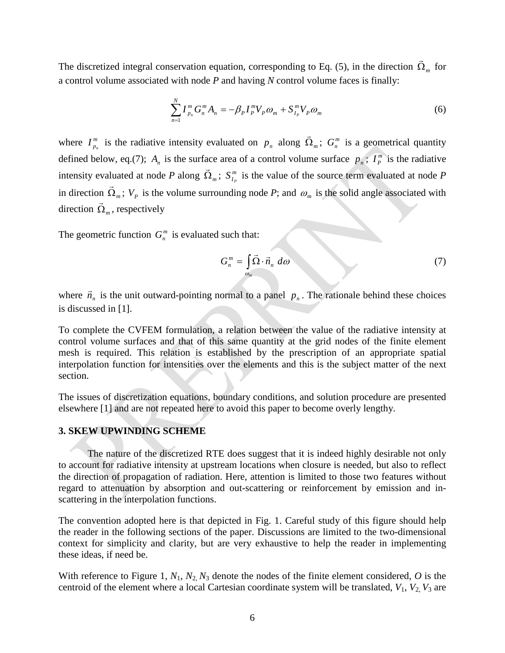The discretized integral conservation equation, corresponding to Eq. (5), in the direction  $\vec{\Omega}_m$  for a control volume associated with node *P* and having *N* control volume faces is finally:

$$
\sum_{n=1}^{N} I_{p_n}^m G_n^m A_n = -\beta_P I_P^m V_P \omega_m + S_{I_P}^m V_P \omega_m \tag{6}
$$

where  $I_{p_n}^m$  is the radiative intensity evaluated on  $p_n$  along  $\vec{\Omega}_m$ ;  $G_n^m$  is a geometrical quantity defined below, eq.(7);  $A_n$  is the surface area of a control volume surface  $p_n$ ;  $I_p^m$  is the radiative intensity evaluated at node *P* along  $\vec{\Omega}_m$ ;  $S_{I_p}^m$  is the value of the source term evaluated at node *P* in direction  $\vec{\Omega}_m$ ;  $V_p$  is the volume surrounding node *P*; and  $\omega_m$  is the solid angle associated with direction  $\vec{\Omega}_m$ , respectively

The geometric function  $G_n^m$  is evaluated such that:

$$
G_n^m = \int_{\omega_m} \vec{\Omega} \cdot \vec{n}_n \, d\omega \tag{7}
$$

where  $\vec{n}_n$  is the unit outward-pointing normal to a panel  $p_n$ . The rationale behind these choices is discussed in [1].

To complete the CVFEM formulation, a relation between the value of the radiative intensity at control volume surfaces and that of this same quantity at the grid nodes of the finite element mesh is required. This relation is established by the prescription of an appropriate spatial interpolation function for intensities over the elements and this is the subject matter of the next section.

The issues of discretization equations, boundary conditions, and solution procedure are presented elsewhere [1] and are not repeated here to avoid this paper to become overly lengthy.

## **3. SKEW UPWINDING SCHEME**

The nature of the discretized RTE does suggest that it is indeed highly desirable not only to account for radiative intensity at upstream locations when closure is needed, but also to reflect the direction of propagation of radiation. Here, attention is limited to those two features without regard to attenuation by absorption and out-scattering or reinforcement by emission and inscattering in the interpolation functions.

The convention adopted here is that depicted in Fig. 1. Careful study of this figure should help the reader in the following sections of the paper. Discussions are limited to the two-dimensional context for simplicity and clarity, but are very exhaustive to help the reader in implementing these ideas, if need be.

With reference to Figure 1,  $N_1$ ,  $N_2$ ,  $N_3$  denote the nodes of the finite element considered,  $O$  is the centroid of the element where a local Cartesian coordinate system will be translated, *V*1, *V*2, *V*<sup>3</sup> are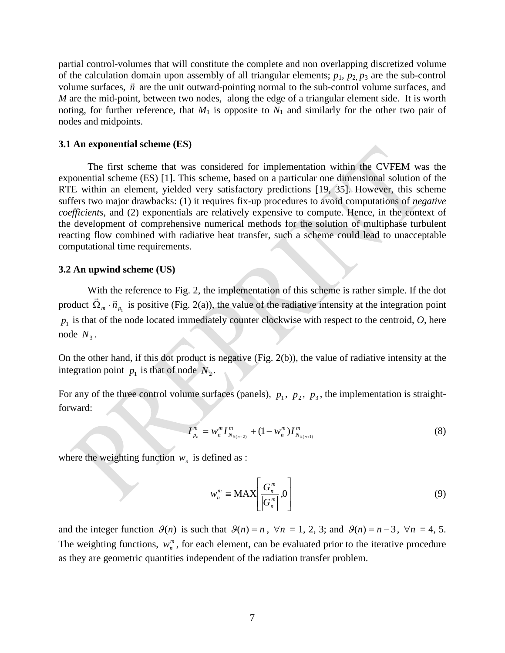partial control-volumes that will constitute the complete and non overlapping discretized volume of the calculation domain upon assembly of all triangular elements;  $p_1$ ,  $p_2$ ,  $p_3$  are the sub-control volume surfaces,  $\vec{n}$  are the unit outward-pointing normal to the sub-control volume surfaces, and  $\vec{n}$ *M* are the mid-point, between two nodes, along the edge of a triangular element side. It is worth noting, for further reference, that  $M_1$  is opposite to  $N_1$  and similarly for the other two pair of nodes and midpoints.

## **3.1 An exponential scheme (ES)**

The first scheme that was considered for implementation within the CVFEM was the exponential scheme (ES) [1]. This scheme, based on a particular one dimensional solution of the RTE within an element, yielded very satisfactory predictions [19, 35]. However, this scheme suffers two major drawbacks: (1) it requires fix-up procedures to avoid computations of *negative coefficients*, and (2) exponentials are relatively expensive to compute. Hence, in the context of the development of comprehensive numerical methods for the solution of multiphase turbulent reacting flow combined with radiative heat transfer, such a scheme could lead to unacceptable computational time requirements.

## **3.2 An upwind scheme (US)**

With the reference to Fig. 2, the implementation of this scheme is rather simple. If the dot product  $\Omega_{m} \cdot \vec{n}_{p_1}$  $\vec{\Omega}_m \cdot \vec{n}_p$  is positive (Fig. 2(a)), the value of the radiative intensity at the integration point  $p_1$  is that of the node located immediately counter clockwise with respect to the centroid,  $O$ , here node  $N<sub>3</sub>$ .

On the other hand, if this dot product is negative (Fig. 2(b)), the value of radiative intensity at the integration point  $p_1$  is that of node  $N_2$ .

For any of the three control volume surfaces (panels),  $p_1$ ,  $p_2$ ,  $p_3$ , the implementation is straightforward:

$$
I_{p_n}^m = w_n^m I_{N_{\mathcal{S}(n+2)}}^m + (1 - w_n^m) I_{N_{\mathcal{S}(n+1)}}^m
$$
 (8)

where the weighting function  $w_n$  is defined as :

$$
w_n^m \equiv \text{MAX} \left[ \frac{G_n^m}{|G_n^m|}, 0 \right] \tag{9}
$$

and the integer function  $\mathcal{G}(n)$  is such that  $\mathcal{G}(n) = n$ ,  $\forall n = 1, 2, 3$ ; and  $\mathcal{G}(n) = n - 3$ ,  $\forall n = 4, 5$ . The weighting functions,  $w_n^m$ , for each element, can be evaluated prior to the iterative procedure as they are geometric quantities independent of the radiation transfer problem.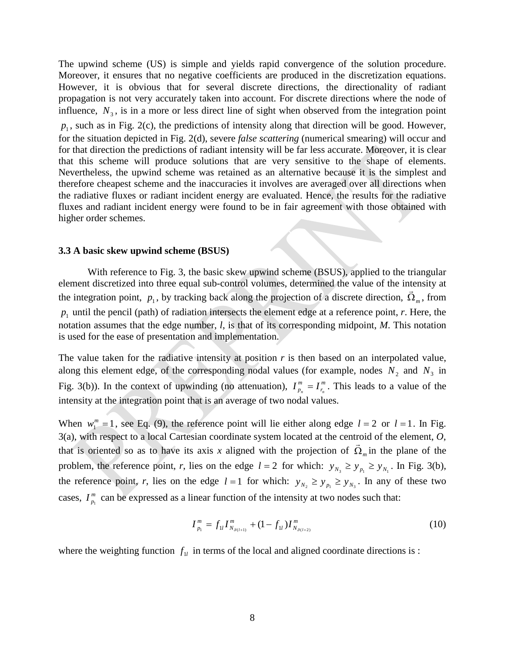The upwind scheme (US) is simple and yields rapid convergence of the solution procedure. Moreover, it ensures that no negative coefficients are produced in the discretization equations. However, it is obvious that for several discrete directions, the directionality of radiant propagation is not very accurately taken into account. For discrete directions where the node of influence,  $N<sub>3</sub>$ , is in a more or less direct line of sight when observed from the integration point  $p_1$ , such as in Fig. 2(c), the predictions of intensity along that direction will be good. However, for the situation depicted in Fig. 2(d), severe *false scattering* (numerical smearing) will occur and for that direction the predictions of radiant intensity will be far less accurate. Moreover, it is clear that this scheme will produce solutions that are very sensitive to the shape of elements. Nevertheless, the upwind scheme was retained as an alternative because it is the simplest and therefore cheapest scheme and the inaccuracies it involves are averaged over all directions when the radiative fluxes or radiant incident energy are evaluated. Hence, the results for the radiative fluxes and radiant incident energy were found to be in fair agreement with those obtained with higher order schemes.

#### **3.3 A basic skew upwind scheme (BSUS)**

With reference to Fig. 3, the basic skew upwind scheme (BSUS), applied to the triangular element discretized into three equal sub-control volumes, determined the value of the intensity at the integration point,  $p_1$ , by tracking back along the projection of a discrete direction,  $\vec{\Omega}_m$ , from  $p_1$  until the pencil (path) of radiation intersects the element edge at a reference point, *r*. Here, the notation assumes that the edge number, *l*, is that of its corresponding midpoint, *M*. This notation is used for the ease of presentation and implementation.

The value taken for the radiative intensity at position  $r$  is then based on an interpolated value, along this element edge, of the corresponding nodal values (for example, nodes  $N_2$  and  $N_3$  in Fig. 3(b)). In the context of upwinding (no attenuation),  $I_{p_n}^m = I_{r_n}^m$  $I_{p_n}^m = I_{r_n}^m$ . This leads to a value of the intensity at the integration point that is an average of two nodal values.

When  $w_1^m = 1$ , see Eq. (9), the reference point will lie either along edge  $l = 2$  or  $l = 1$ . In Fig. 3(a), with respect to a local Cartesian coordinate system located at the centroid of the element, *O*, that is oriented so as to have its axis *x* aligned with the projection of  $\vec{\Omega}_m$  in the plane of the problem, the reference point, *r*, lies on the edge  $l = 2$  for which:  $y_{N_3} \ge y_{N_1} \ge y_{N_1}$ . In Fig. 3(b), the reference point, *r*, lies on the edge  $l = 1$  for which:  $y_{N_2} \ge y_{N_1} \ge y_{N_2}$ . In any of these two cases,  $I_{p_1}^m$  can be expressed as a linear function of the intensity at two nodes such that:

$$
I_{p_1}^m = f_{1l} I_{N_{g(l+1)}}^m + (1 - f_{1l}) I_{N_{g(l+2)}}^m \tag{10}
$$

where the weighting function  $f_{1l}$  in terms of the local and aligned coordinate directions is :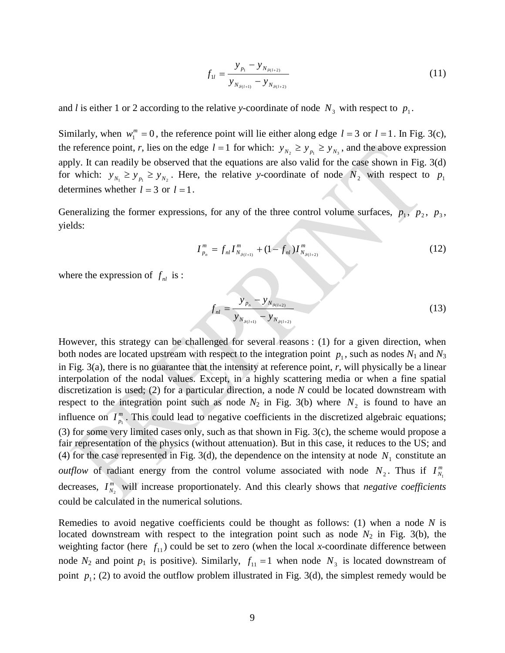$$
f_{1l} = \frac{y_{p_1} - y_{N_{g_{(l+2)}}}}{y_{N_{g_{(l+1)}}} - y_{N_{g_{(l+2)}}}}
$$
(11)

and *l* is either 1 or 2 according to the relative *y*-coordinate of node  $N<sub>3</sub>$  with respect to  $p<sub>1</sub>$ .

Similarly, when  $w_1^m = 0$ , the reference point will lie either along edge  $l = 3$  or  $l = 1$ . In Fig. 3(c), the reference point, *r*, lies on the edge  $l = 1$  for which:  $y_{N_2} \ge y_{N_1} \ge y_{N_2}$ , and the above expression apply. It can readily be observed that the equations are also valid for the case shown in Fig. 3(d) for which:  $y_{N_1} \ge y_{N_2}$   $\ge y_{N_2}$ . Here, the relative *y*-coordinate of node  $N_2$  with respect to  $p_1$ determines whether  $l = 3$  or  $l = 1$ .

Generalizing the former expressions, for any of the three control volume surfaces,  $p_1$ ,  $p_2$ ,  $p_3$ , yields:

$$
I_{p_n}^m = f_{nl} I_{N_{g(l+1)}}^m + (1 - f_{nl}) I_{N_{g(l+2)}}^m \tag{12}
$$

where the expression of  $f_{nl}$  is :

$$
f_{nl} = \frac{y_{p_n} - y_{N_{\mathcal{G}(l+2)}}}{y_{N_{\mathcal{G}(l+1)}} - y_{N_{\mathcal{G}(l+2)}}}
$$
(13)

However, this strategy can be challenged for several reasons : (1) for a given direction, when both nodes are located upstream with respect to the integration point  $p_1$ , such as nodes  $N_1$  and  $N_3$ in Fig. 3(a), there is no guarantee that the intensity at reference point, *r*, will physically be a linear interpolation of the nodal values. Except, in a highly scattering media or when a fine spatial discretization is used; (2) for a particular direction, a node *N* could be located downstream with respect to the integration point such as node  $N_2$  in Fig. 3(b) where  $N_2$  is found to have an influence on  $I_{p_1}^m$ . This could lead to negative coefficients in the discretized algebraic equations; (3) for some very limited cases only, such as that shown in Fig. 3(c), the scheme would propose a fair representation of the physics (without attenuation). But in this case, it reduces to the US; and (4) for the case represented in Fig. 3(d), the dependence on the intensity at node  $N_1$  constitute an *outflow* of radiant energy from the control volume associated with node  $N_2$ . Thus if  $I_{N_1}^m$ decreases,  $I_{N_2}^m$  will increase proportionately. And this clearly shows that *negative coefficients* could be calculated in the numerical solutions.

Remedies to avoid negative coefficients could be thought as follows: (1) when a node *N* is located downstream with respect to the integration point such as node  $N_2$  in Fig. 3(b), the weighting factor (here  $f_{11}$ ) could be set to zero (when the local *x*-coordinate difference between node  $N_2$  and point  $p_1$  is positive). Similarly,  $f_{11} = 1$  when node  $N_3$  is located downstream of point  $p_1$ ; (2) to avoid the outflow problem illustrated in Fig. 3(d), the simplest remedy would be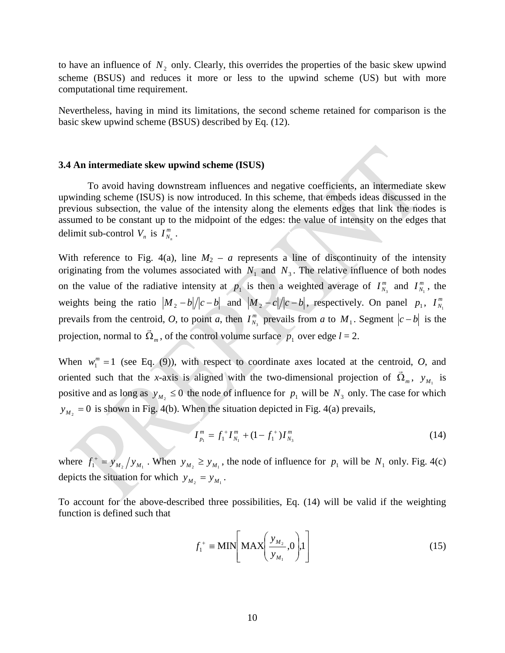to have an influence of  $N_2$  only. Clearly, this overrides the properties of the basic skew upwind scheme (BSUS) and reduces it more or less to the upwind scheme (US) but with more computational time requirement.

Nevertheless, having in mind its limitations, the second scheme retained for comparison is the basic skew upwind scheme (BSUS) described by Eq. (12).

#### **3.4 An intermediate skew upwind scheme (ISUS)**

To avoid having downstream influences and negative coefficients, an intermediate skew upwinding scheme (ISUS) is now introduced. In this scheme, that embeds ideas discussed in the previous subsection, the value of the intensity along the elements edges that link the nodes is assumed to be constant up to the midpoint of the edges: the value of intensity on the edges that delimit sub-control  $V_n$  is  $I_{N_n}^m$ .

With reference to Fig. 4(a), line  $M_2 - a$  represents a line of discontinuity of the intensity originating from the volumes associated with  $N_1$  and  $N_3$ . The relative influence of both nodes on the value of the radiative intensity at  $p_1$  is then a weighted average of  $I_{N_3}^m$  and  $I_{N_1}^m$ , the weights being the ratio  $|M_2 - b|/|c - b|$  and  $|M_2 - c|/|c - b|$ , respectively. On panel  $p_1$ ,  $I_{N_1}^m$ prevails from the centroid, *O*, to point *a*, then  $I_{N_3}^m$  prevails from *a* to  $M_1$ . Segment  $|c - b|$  is the projection, normal to  $\vec{\Omega}_m$ , of the control volume surface  $p_1$  over edge  $l = 2$ .

When  $w_1^m = 1$  (see Eq. (9)), with respect to coordinate axes located at the centroid, *O*, and oriented such that the *x*-axis is aligned with the two-dimensional projection of  $\vec{\Omega}_m$ ,  $y_{M_1}$  is positive and as long as  $y_M \le 0$  the node of influence for  $p_1$  will be  $N_3$  only. The case for which  $y_{M_2} = 0$  is shown in Fig. 4(b). When the situation depicted in Fig. 4(a) prevails,

$$
I_{p_1}^m = f_1^{\, +} I_{N_1}^m + (1 - f_1^{\, +}) I_{N_3}^m \tag{14}
$$

where  $f_1^+ = y_{M_2}/y_{M_1}$ . When  $y_{M_2} \ge y_{M_1}$ , the node of influence for  $p_1$  will be  $N_1$  only. Fig. 4(c) depicts the situation for which  $y_{M_2} = y_{M_1}$ .

To account for the above-described three possibilities, Eq. (14) will be valid if the weighting function is defined such that

$$
f_1^+ \equiv \text{MIN} \left[ \text{MAX} \left( \frac{y_{M_2}}{y_{M_1}} , 0 \right), 1 \right] \tag{15}
$$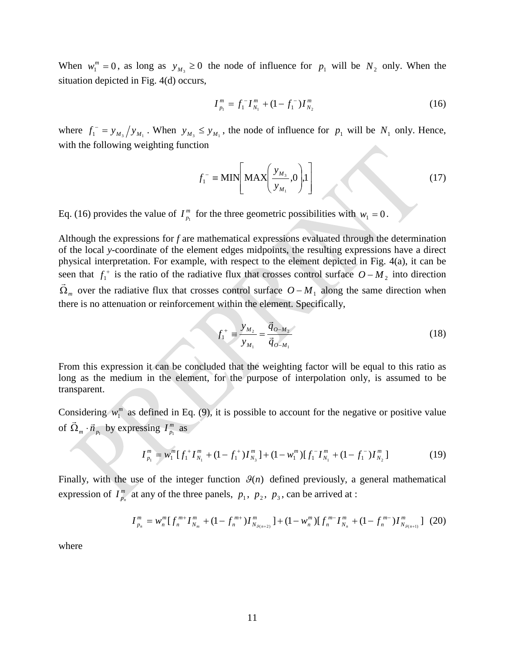When  $w_1^m = 0$ , as long as  $y_{M_3} \ge 0$  the node of influence for  $p_1$  will be  $N_2$  only. When the situation depicted in Fig. 4(d) occurs,

$$
I_{p_1}^m = f_1^- I_{N_1}^m + (1 - f_1^-) I_{N_2}^m \tag{16}
$$

where  $f_1 = y_{M_3} / y_{M_1}$ . When  $y_{M_3} \leq y_{M_1}$ , the node of influence for  $p_1$  will be  $N_1$  only. Hence, with the following weighting function

$$
f_1^- \equiv \text{MIN} \left[ \text{MAX} \left( \frac{y_{M_3}}{y_{M_1}}, 0 \right), 1 \right] \tag{17}
$$

Eq. (16) provides the value of  $I_{p_1}^m$  for the three geometric possibilities with  $w_1 = 0$ .

Although the expressions for *f* are mathematical expressions evaluated through the determination of the local *y*-coordinate of the element edges midpoints, the resulting expressions have a direct physical interpretation. For example, with respect to the element depicted in Fig. 4(a), it can be seen that  $f_1^+$  is the ratio of the radiative flux that crosses control surface  $O - M_2$  into direction  $\vec{\Omega}_m$  over the radiative flux that crosses control surface  $O - M_1$  along the same direction when there is no attenuation or reinforcement within the element. Specifically,

$$
f_1^+ = \frac{y_{M_2}}{y_{M_1}} = \frac{\vec{q}_{0-M_2}}{\vec{q}_{0-M_1}}
$$
 (18)

From this expression it can be concluded that the weighting factor will be equal to this ratio as long as the medium in the element, for the purpose of interpolation only, is assumed to be transparent.

Considering  $w_1^m$  as defined in Eq. (9), it is possible to account for the negative or positive value of  $\Omega_{m} \cdot \vec{n}_{p_1}$  $\vec{\Omega}_m \cdot \vec{n}_{p_1}$  by expressing  $I_{p_1}^m$  as

$$
I_{p_1}^m = w_1^m [f_1^+ I_{N_1}^m + (1 - f_1^+) I_{N_3}^m] + (1 - w_1^m) [f_1^- I_{N_1}^m + (1 - f_1^-) I_{N_2}^m]
$$
(19)

Finally, with the use of the integer function  $\mathcal{G}(n)$  defined previously, a general mathematical expression of  $I_{p_n}^m$  at any of the three panels,  $p_1, p_2, p_3$ , can be arrived at :

$$
I_{p_n}^m = w_n^m \left[ f_n^{m+} I_{N_m}^m + (1 - f_n^{m+}) I_{N_{\mathcal{S}(n+2)}}^m \right] + (1 - w_n^m) \left[ f_n^{m-} I_{N_n}^m + (1 - f_n^{m-}) I_{N_{\mathcal{S}(n+1)}}^m \right] \tag{20}
$$

where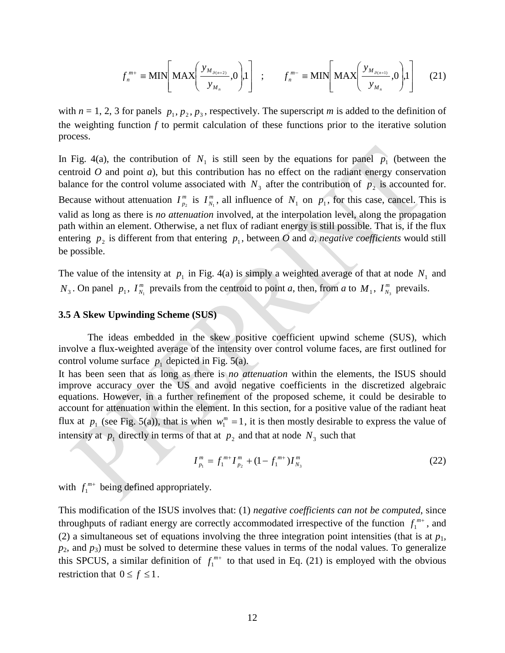$$
f_n^{m+} \equiv \text{MIN}\left[\text{MAX}\left(\frac{y_{M_{g_{(n+2)}}}}{y_{M_n}}, 0\right), 1\right] \ ; \qquad f_n^{m-} \equiv \text{MIN}\left[\text{MAX}\left(\frac{y_{M_{g_{(n+1)}}}}{y_{M_n}}, 0\right), 1\right] \tag{21}
$$

with  $n = 1, 2, 3$  for panels  $p_1, p_2, p_3$ , respectively. The superscript *m* is added to the definition of the weighting function *f* to permit calculation of these functions prior to the iterative solution process.

In Fig. 4(a), the contribution of  $N_1$  is still seen by the equations for panel  $p_1$  (between the centroid *O* and point *a*), but this contribution has no effect on the radiant energy conservation balance for the control volume associated with  $N_3$  after the contribution of  $p_2$  is accounted for. Because without attenuation  $I_{p_2}^m$  is  $I_{N_1}^m$ , all influence of  $N_1$  on  $p_1$ , for this case, cancel. This is valid as long as there is *no attenuation* involved, at the interpolation level, along the propagation path within an element. Otherwise, a net flux of radiant energy is still possible. That is, if the flux entering  $p_2$  is different from that entering  $p_1$ , between *O* and *a*, *negative coefficients* would still be possible.

The value of the intensity at  $p_1$  in Fig. 4(a) is simply a weighted average of that at node  $N_1$  and  $N_3$ . On panel  $p_1$ ,  $I_{N_1}^m$  prevails from the centroid to point *a*, then, from *a* to  $M_1$ ,  $I_{N_3}^m$  prevails.

## **3.5 A Skew Upwinding Scheme (SUS)**

The ideas embedded in the skew positive coefficient upwind scheme (SUS), which involve a flux-weighted average of the intensity over control volume faces, are first outlined for control volume surface  $p_1$  depicted in Fig. 5(a).

It has been seen that as long as there is *no attenuation* within the elements, the ISUS should improve accuracy over the US and avoid negative coefficients in the discretized algebraic equations. However, in a further refinement of the proposed scheme, it could be desirable to account for attenuation within the element. In this section, for a positive value of the radiant heat flux at  $p_1$  (see Fig. 5(a)), that is when  $w_1^m = 1$ , it is then mostly desirable to express the value of intensity at  $p_1$  directly in terms of that at  $p_2$  and that at node  $N_3$  such that

$$
I_{p_1}^m = f_1^{m+} I_{p_2}^m + (1 - f_1^{m+}) I_{N_3}^m \tag{22}
$$

with  $f_1^{m+}$  being defined appropriately.

This modification of the ISUS involves that: (1) *negative coefficients can not be computed*, since throughputs of radiant energy are correctly accommodated irrespective of the function  $f_1^{m+}$ , and (2) a simultaneous set of equations involving the three integration point intensities (that is at  $p_1$ , *p*2, and *p*3) must be solved to determine these values in terms of the nodal values. To generalize this SPCUS, a similar definition of  $f_1^{m+}$  to that used in Eq. (21) is employed with the obvious restriction that  $0 \le f \le 1$ .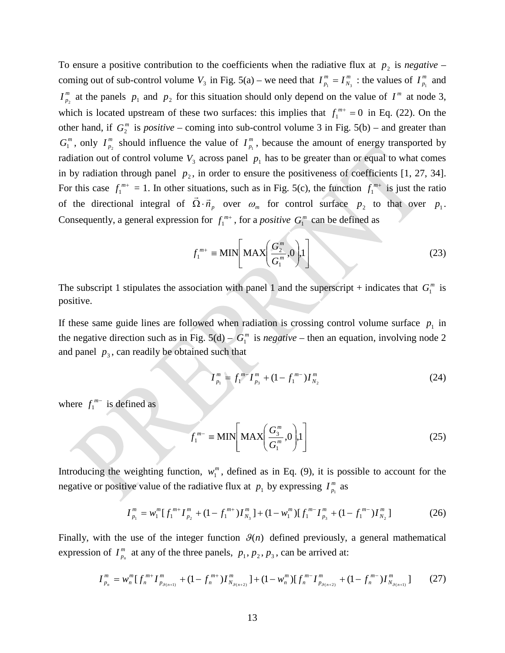To ensure a positive contribution to the coefficients when the radiative flux at  $p_2$  is *negative* – coming out of sub-control volume  $V_3$  in Fig. 5(a) – we need that  $I_{p_1}^m = I_N^m$  $I_{p_1}^m = I_{N_3}^m$ : the values of  $I_{p_1}^m$  and  $I_{p_2}^m$  at the panels  $p_1$  and  $p_2$  for this situation should only depend on the value of  $I^m$  at node 3, which is located upstream of these two surfaces: this implies that  $f_1^{m+} = 0$  in Eq. (22). On the other hand, if  $G_2^m$  is *positive* – coming into sub-control volume 3 in Fig. 5(b) – and greater than  $G_1^m$ , only  $I_{p_2}^m$  should influence the value of  $I_{p_1}^m$ , because the amount of energy transported by radiation out of control volume  $V_3$  across panel  $p_1$  has to be greater than or equal to what comes in by radiation through panel  $p_2$ , in order to ensure the positiveness of coefficients [1, 27, 34]. For this case  $f_1^{m+} = 1$ . In other situations, such as in Fig. 5(c), the function  $f_1^{m+}$  is just the ratio of the directional integral of  $\Omega \cdot \vec{n}_p$  $\vec{D}$  $\Omega \cdot \vec{n}_p$  over  $\omega_m$  for control surface  $p_2$  to that over  $p_1$ . Consequently, a general expression for  $f_1^{m+}$ , for a *positive*  $G_1^m$  can be defined as

$$
f_1^{m+} \equiv \text{MIN}\left[\text{MAX}\left(\frac{G_2^m}{G_1^m}, 0\right), 1\right]
$$
 (23)

The subscript 1 stipulates the association with panel 1 and the superscript + indicates that  $G_1^m$  is positive.

If these same guide lines are followed when radiation is crossing control volume surface  $p_1$  in the negative direction such as in Fig.  $5(d) - G_1^m$  is *negative* – then an equation, involving node 2 and panel  $p_3$ , can readily be obtained such that

$$
I_{p_1}^m = f_1^{m-1} I_{p_3}^m + (1 - f_1^{m-1}) I_{N_2}^m \tag{24}
$$

where  $f_1^{m-}$  is defined as

$$
f_1^{m-} \equiv \text{MIN}\bigg[\text{MAX}\bigg(\frac{G_3^m}{G_1^m}, 0\bigg), 1\bigg]
$$
 (25)

Introducing the weighting function,  $w_1^m$ , defined as in Eq. (9), it is possible to account for the negative or positive value of the radiative flux at  $p_1$  by expressing  $I_{p_1}^m$  as

$$
I_{p_1}^m = w_1^m [f_1^{m+} I_{p_2}^m + (1 - f_1^{m+}) I_{N_3}^m] + (1 - w_1^m) [f_1^{m-} I_{p_3}^m + (1 - f_1^{m-}) I_{N_2}^m]
$$
(26)

Finally, with the use of the integer function  $\mathcal{G}(n)$  defined previously, a general mathematical expression of  $I_{p_n}^m$  at any of the three panels,  $p_1, p_2, p_3$ , can be arrived at:

$$
I_{p_n}^m = w_n^m [f_n^{m+1} I_{p_{g(n+1)}}^m + (1 - f_n^{m+1}) I_{N_{g(n+2)}}^m] + (1 - w_n^m) [f_n^{m-1} I_{p_{g(n+2)}}^m + (1 - f_n^{m-1}) I_{N_{g(n+1)}}^m] \tag{27}
$$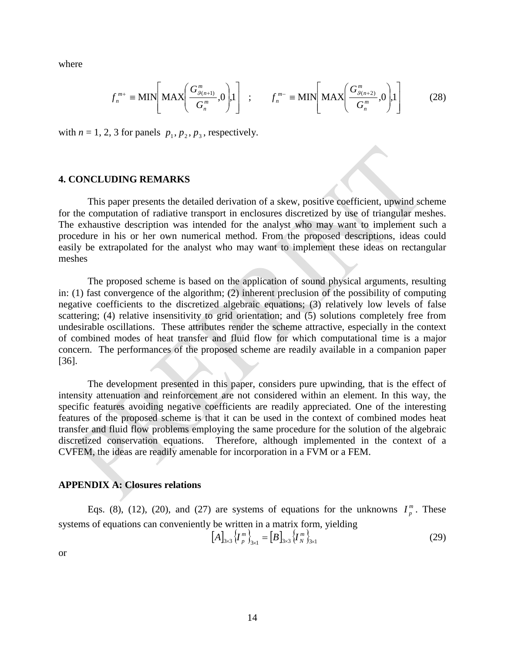where

$$
f_n^{m+} \equiv \text{MIN}\left[\text{MAX}\left(\frac{G_{\mathcal{G}(n+1)}^m}{G_n^m}, 0\right), 1\right] \quad ; \qquad f_n^{m-} \equiv \text{MIN}\left[\text{MAX}\left(\frac{G_{\mathcal{G}(n+2)}^m}{G_n^m}, 0\right), 1\right] \tag{28}
$$

with  $n = 1, 2, 3$  for panels  $p_1, p_2, p_3$ , respectively.

### **4. CONCLUDING REMARKS**

This paper presents the detailed derivation of a skew, positive coefficient, upwind scheme for the computation of radiative transport in enclosures discretized by use of triangular meshes. The exhaustive description was intended for the analyst who may want to implement such a procedure in his or her own numerical method. From the proposed descriptions, ideas could easily be extrapolated for the analyst who may want to implement these ideas on rectangular meshes

The proposed scheme is based on the application of sound physical arguments, resulting in: (1) fast convergence of the algorithm; (2) inherent preclusion of the possibility of computing negative coefficients to the discretized algebraic equations; (3) relatively low levels of false scattering; (4) relative insensitivity to grid orientation; and (5) solutions completely free from undesirable oscillations. These attributes render the scheme attractive, especially in the context of combined modes of heat transfer and fluid flow for which computational time is a major concern. The performances of the proposed scheme are readily available in a companion paper [36].

The development presented in this paper, considers pure upwinding, that is the effect of intensity attenuation and reinforcement are not considered within an element. In this way, the specific features avoiding negative coefficients are readily appreciated. One of the interesting features of the proposed scheme is that it can be used in the context of combined modes heat transfer and fluid flow problems employing the same procedure for the solution of the algebraic discretized conservation equations. Therefore, although implemented in the context of a CVFEM, the ideas are readily amenable for incorporation in a FVM or a FEM.

### **APPENDIX A: Closures relations**

Eqs. (8), (12), (20), and (27) are systems of equations for the unknowns  $I_p^m$ . These systems of equations can conveniently be written in a matrix form, yielding

$$
[A]_{3\times 3} \langle I_p^m \rangle_{3\times 1} = [B]_{3\times 3} \langle I_N^m \rangle_{3\times 1}
$$
 (29)

or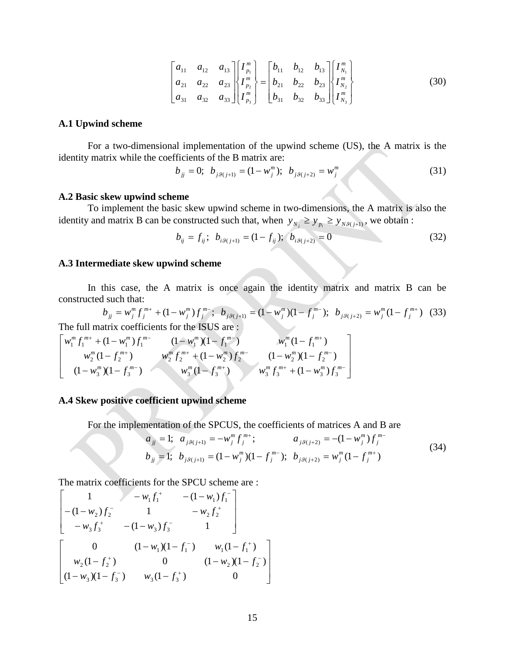$$
\begin{bmatrix} a_{11} & a_{12} & a_{13} \ a_{21} & a_{22} & a_{23} \ a_{31} & a_{32} & a_{33} \end{bmatrix} \begin{bmatrix} I_{p_1}^m \\ I_{p_2}^m \\ I_{p_3}^m \end{bmatrix} = \begin{bmatrix} b_{11} & b_{12} & b_{13} \ b_{21} & b_{22} & b_{23} \ b_{31} & b_{32} & b_{33} \end{bmatrix} \begin{bmatrix} I_{N_1}^m \\ I_{N_2}^m \\ I_{N_3}^m \end{bmatrix}
$$
 (30)

### **A.1 Upwind scheme**

For a two-dimensional implementation of the upwind scheme (US), the A matrix is the identity matrix while the coefficients of the B matrix are:

$$
b_{jj} = 0; \ b_{jg(j+1)} = (1 - w_j^m); \ b_{jg(j+2)} = w_j^m
$$
 (31)

#### **A.2 Basic skew upwind scheme**

To implement the basic skew upwind scheme in two-dimensions, the A matrix is also the identity and matrix B can be constructed such that, when  $y_{N_i} \ge y_{p_i} \ge y_{N\mathcal{B}(j+1)}$ , we obtain :

$$
b_{ij} = f_{ij}; b_{i, \theta(j+1)} = (1 - f_{ij}); b_{i, \theta(j+2)} = 0
$$
\n(32)

#### **A.3 Intermediate skew upwind scheme**

In this case, the A matrix is once again the identity matrix and matrix B can be constructed such that:

 $(1-w_j^m)f_j^{m-}$ ;  $b_{j,9(j+1)} = (1-w_j^m)(1-f_j^{m-})$ ;  $b_{j,9(j+2)} = w_j^m(1-f_j^{m+})$ + −  $= w_j^m f_j^{m+} + (1 - w_j^m) f_j^{m-}$ ;  $b_{j\theta(j+1)} = (1 - w_j^m)(1 - f_j^{m-})$ ;  $b_{j\theta(j+2)} = w_j^m (1 - f_j^m)$ *m*  $j\theta(j+2)$   $\qquad$   $W_j$ *m j m*  $j\theta(j+1) = (1 - W_j)$ *m j m j m j*  $b_{jj} = w_j^m f_j^{m+} + (1 - w_j^m) f_j^{m-}$ ;  $b_{j\theta(j+1)} = (1 - w_j^m)(1 - f_j^{m-})$ ;  $b_{j\theta(j+2)} = w_j^m (1 - f_j^{m+})$  (33) The full matrix coefficients for the ISUS are :

$$
\begin{bmatrix} w_1^m f_1^{m+} + (1 - w_1^m) f_1^{m-} & (1 - w_1^m) (1 - f_1^{m-}) & w_1^m (1 - f_1^{m+}) \\ w_2^m (1 - f_2^{m+}) & w_2^m f_2^{m+} + (1 - w_2^m) f_2^{m-} & (1 - w_2^m) (1 - f_2^{m-}) \\ (1 - w_3^m) (1 - f_3^{m-}) & w_3^m (1 - f_3^{m+}) & w_3^m f_3^{m+} + (1 - w_3^m) f_3^{m-} \end{bmatrix}
$$

## **A.4 Skew positive coefficient upwind scheme**

For the implementation of the SPCUS, the coefficients of matrices A and B are

$$
a_{jj} = 1; \quad a_{jg(j+1)} = -w_j^m f_j^{m+}; \qquad a_{jg(j+2)} = -(1 - w_j^m) f_j^{m-}
$$
  
\n
$$
b_{jj} = 1; \quad b_{jg(j+1)} = (1 - w_j^m)(1 - f_j^{m-}); \quad b_{jg(j+2)} = w_j^m (1 - f_j^{m+})
$$
\n(34)

The matrix coefficients for the SPCU scheme are :

$$
\begin{bmatrix}\n1 & -w_1 f_1^+ & -(1 - w_1) f_1^- \\
-(1 - w_2) f_2^- & 1 & -w_2 f_2^+ \\
-w_3 f_3^+ & -(1 - w_3) f_3^- & 1\n\end{bmatrix}
$$
\n
$$
\begin{bmatrix}\n0 & (1 - w_1)(1 - f_1^-) & w_1(1 - f_1^+) \\
w_2(1 - f_2^+) & 0 & (1 - w_2)(1 - f_2^-) \\
(1 - w_3)(1 - f_3^-) & w_3(1 - f_3^+) & 0\n\end{bmatrix}
$$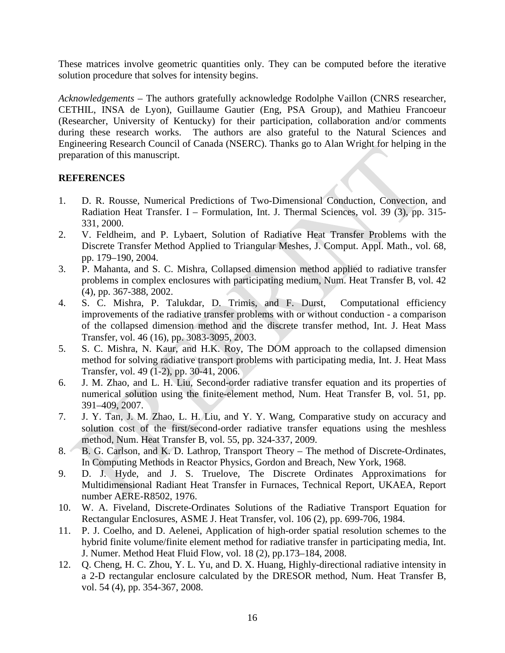These matrices involve geometric quantities only. They can be computed before the iterative solution procedure that solves for intensity begins.

*Acknowledgements* – The authors gratefully acknowledge Rodolphe Vaillon (CNRS researcher, CETHIL, INSA de Lyon), Guillaume Gautier (Eng, PSA Group), and Mathieu Francoeur (Researcher, University of Kentucky) for their participation, collaboration and/or comments during these research works. The authors are also grateful to the Natural Sciences and Engineering Research Council of Canada (NSERC). Thanks go to Alan Wright for helping in the preparation of this manuscript.

## **REFERENCES**

- 1. D. R. Rousse, Numerical Predictions of Two-Dimensional Conduction, Convection, and Radiation Heat Transfer. I – Formulation, Int. J. Thermal Sciences, vol. 39 (3), pp. 315- 331, 2000.
- 2. V. Feldheim, and P. Lybaert, Solution of Radiative Heat Transfer Problems with the Discrete Transfer Method Applied to Triangular Meshes, J. Comput. Appl. Math., vol. 68, pp. 179–190, 2004.
- 3. P. Mahanta, and S. C. Mishra, Collapsed dimension method applied to radiative transfer problems in complex enclosures with participating medium, Num. Heat Transfer B, vol. 42 (4), pp. 367-388, 2002.
- 4. S. C. Mishra, P. Talukdar, D. Trimis, and F. Durst, Computational efficiency improvements of the radiative transfer problems with or without conduction - a comparison of the collapsed dimension method and the discrete transfer method, Int. J. Heat Mass Transfer, vol. 46 (16), pp. 3083-3095, 2003.
- 5. S. C. Mishra, N. Kaur, and H.K. Roy, The DOM approach to the collapsed dimension method for solving radiative transport problems with participating media, Int. J. Heat Mass Transfer, vol. 49 (1-2), pp. 30-41, 2006.
- 6. J. M. Zhao, and L. H. Liu, Second-order radiative transfer equation and its properties of numerical solution using the finite-element method, Num. Heat Transfer B, vol. 51, pp. 391–409, 2007.
- 7. J. Y. Tan, J. M. Zhao, L. H. Liu, and Y. Y. Wang, Comparative study on accuracy and solution cost of the first/second-order radiative transfer equations using the meshless method, Num. Heat Transfer B, vol. 55, pp. 324-337, 2009.
- 8. B. G. Carlson, and K. D. Lathrop, Transport Theory The method of Discrete-Ordinates, In Computing Methods in Reactor Physics, Gordon and Breach, New York, 1968.
- 9. D. J. Hyde, and J. S. Truelove, The Discrete Ordinates Approximations for Multidimensional Radiant Heat Transfer in Furnaces, Technical Report, UKAEA, Report number AERE-R8502, 1976.
- 10. W. A. Fiveland, Discrete-Ordinates Solutions of the Radiative Transport Equation for Rectangular Enclosures, ASME J. Heat Transfer, vol. 106 (2), pp. 699-706, 1984.
- 11. P. J. Coelho, and D. Aelenei, Application of high-order spatial resolution schemes to the hybrid finite volume/finite element method for radiative transfer in participating media, Int. J. Numer. Method Heat Fluid Flow, vol. 18 (2), pp.173–184, 2008.
- 12. Q. Cheng, H. C. Zhou, Y. L. Yu, and D. X. Huang, Highly-directional radiative intensity in a 2-D rectangular enclosure calculated by the DRESOR method, Num. Heat Transfer B, vol. 54 (4), pp. 354-367, 2008.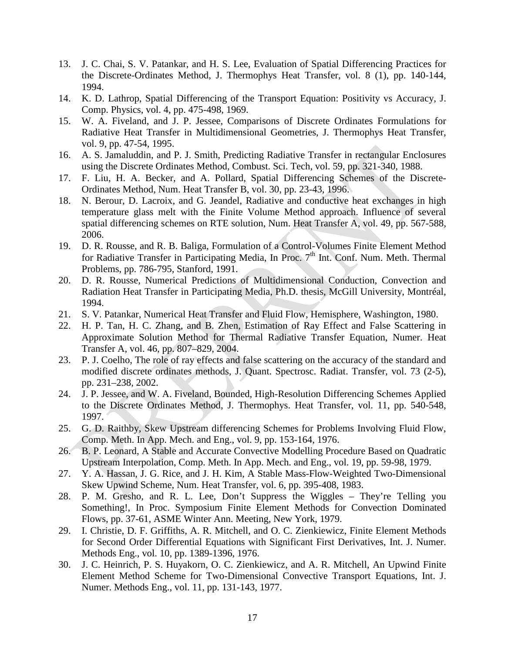- 13. J. C. Chai, S. V. Patankar, and H. S. Lee, Evaluation of Spatial Differencing Practices for the Discrete-Ordinates Method, J. Thermophys Heat Transfer, vol. 8 (1), pp. 140-144, 1994.
- 14. K. D. Lathrop, Spatial Differencing of the Transport Equation: Positivity vs Accuracy, J. Comp. Physics, vol. 4, pp. 475-498, 1969.
- 15. W. A. Fiveland, and J. P. Jessee, Comparisons of Discrete Ordinates Formulations for Radiative Heat Transfer in Multidimensional Geometries, J. Thermophys Heat Transfer, vol. 9, pp. 47-54, 1995.
- 16. A. S. Jamaluddin, and P. J. Smith, Predicting Radiative Transfer in rectangular Enclosures using the Discrete Ordinates Method, Combust. Sci. Tech, vol. 59, pp. 321-340, 1988.
- 17. F. Liu, H. A. Becker, and A. Pollard, Spatial Differencing Schemes of the Discrete-Ordinates Method, Num. Heat Transfer B, vol. 30, pp. 23-43, 1996.
- 18. N. Berour, D. Lacroix, and G. Jeandel, Radiative and conductive heat exchanges in high temperature glass melt with the Finite Volume Method approach. Influence of several spatial differencing schemes on RTE solution, Num. Heat Transfer A, vol. 49, pp. 567-588, 2006.
- 19. D. R. Rousse, and R. B. Baliga, Formulation of a Control-Volumes Finite Element Method for Radiative Transfer in Participating Media, In Proc.  $7<sup>th</sup>$  Int. Conf. Num. Meth. Thermal Problems, pp. 786-795, Stanford, 1991.
- 20. D. R. Rousse, Numerical Predictions of Multidimensional Conduction, Convection and Radiation Heat Transfer in Participating Media, Ph.D. thesis, McGill University, Montréal, 1994.
- 21. S. V. Patankar, Numerical Heat Transfer and Fluid Flow, Hemisphere, Washington, 1980.
- 22. H. P. Tan, H. C. Zhang, and B. Zhen, Estimation of Ray Effect and False Scattering in Approximate Solution Method for Thermal Radiative Transfer Equation, Numer. Heat Transfer A, vol. 46, pp. 807–829, 2004.
- 23. P. J. Coelho, The role of ray effects and false scattering on the accuracy of the standard and modified discrete ordinates methods, J. Quant. Spectrosc. Radiat. Transfer, vol. 73 (2-5), pp. 231–238, 2002.
- 24. J. P. Jessee, and W. A. Fiveland, Bounded, High-Resolution Differencing Schemes Applied to the Discrete Ordinates Method, J. Thermophys. Heat Transfer, vol. 11, pp. 540-548, 1997.
- 25. G. D. Raithby, Skew Upstream differencing Schemes for Problems Involving Fluid Flow, Comp. Meth. In App. Mech. and Eng., vol. 9, pp. 153-164, 1976.
- 26. B. P. Leonard, A Stable and Accurate Convective Modelling Procedure Based on Quadratic Upstream Interpolation, Comp. Meth. In App. Mech. and Eng., vol. 19, pp. 59-98, 1979.
- 27. Y. A. Hassan, J. G. Rice, and J. H. Kim, A Stable Mass-Flow-Weighted Two-Dimensional Skew Upwind Scheme, Num. Heat Transfer, vol. 6, pp. 395-408, 1983.
- 28. P. M. Gresho, and R. L. Lee, Don't Suppress the Wiggles They're Telling you Something!, In Proc. Symposium Finite Element Methods for Convection Dominated Flows, pp. 37-61, ASME Winter Ann. Meeting, New York, 1979.
- 29. I. Christie, D. F. Griffiths, A. R. Mitchell, and O. C. Zienkiewicz, Finite Element Methods for Second Order Differential Equations with Significant First Derivatives, Int. J. Numer. Methods Eng., vol. 10, pp. 1389-1396, 1976.
- 30. J. C. Heinrich, P. S. Huyakorn, O. C. Zienkiewicz, and A. R. Mitchell, An Upwind Finite Element Method Scheme for Two-Dimensional Convective Transport Equations, Int. J. Numer. Methods Eng., vol. 11, pp. 131-143, 1977.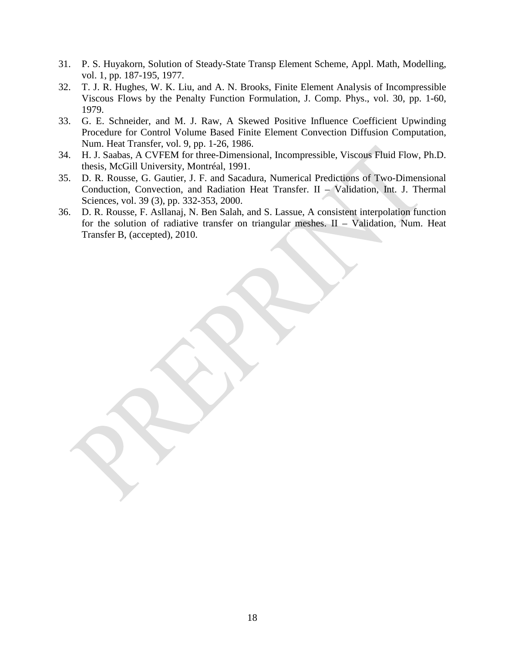- 31. P. S. Huyakorn, Solution of Steady-State Transp Element Scheme, Appl. Math, Modelling, vol. 1, pp. 187-195, 1977.
- 32. T. J. R. Hughes, W. K. Liu, and A. N. Brooks, Finite Element Analysis of Incompressible Viscous Flows by the Penalty Function Formulation, J. Comp. Phys., vol. 30, pp. 1-60, 1979.
- 33. G. E. Schneider, and M. J. Raw, A Skewed Positive Influence Coefficient Upwinding Procedure for Control Volume Based Finite Element Convection Diffusion Computation, Num. Heat Transfer, vol. 9, pp. 1-26, 1986.
- 34. H. J. Saabas, A CVFEM for three-Dimensional, Incompressible, Viscous Fluid Flow, Ph.D. thesis, McGill University, Montréal, 1991.
- 35. D. R. Rousse, G. Gautier, J. F. and Sacadura, Numerical Predictions of Two-Dimensional Conduction, Convection, and Radiation Heat Transfer. II – Validation, Int. J. Thermal Sciences, vol. 39 (3), pp. 332-353, 2000.
- 36. D. R. Rousse, F. Asllanaj, N. Ben Salah, and S. Lassue, A consistent interpolation function for the solution of radiative transfer on triangular meshes. II – Validation, Num. Heat Transfer B, (accepted), 2010.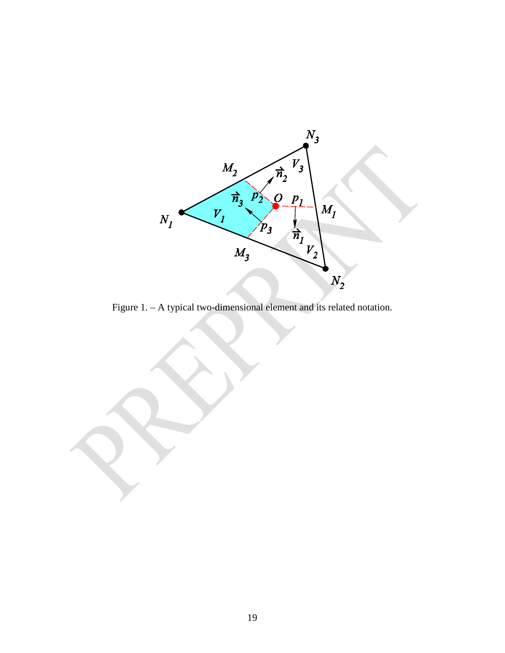

Figure 1. – A typical two-dimensional element and its related notation.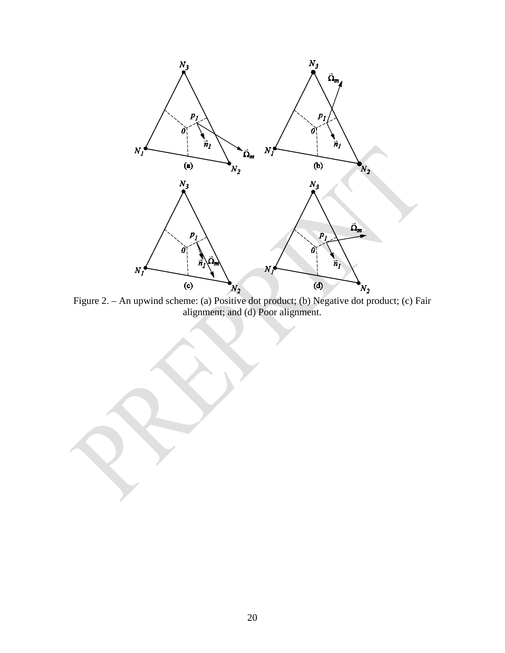

Figure 2. – An upwind scheme: (a) Positive dot product; (b) Negative dot product; (c) Fair alignment; and (d) Poor alignment.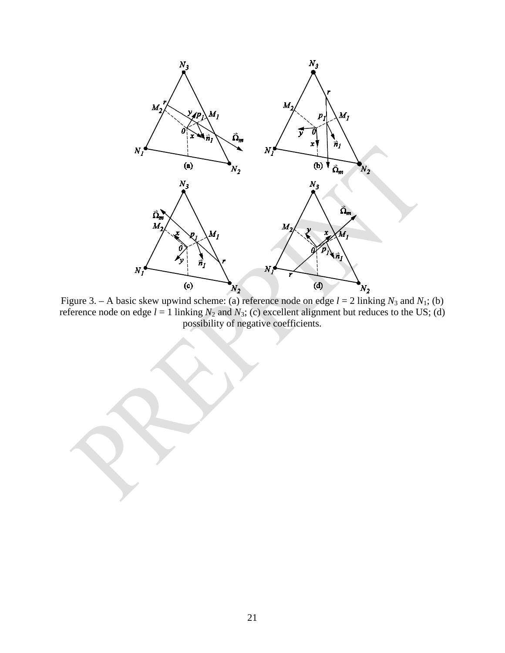

Figure 3. – A basic skew upwind scheme: (a) reference node on edge  $l = 2$  linking  $N_3$  and  $N_1$ ; (b) reference node on edge  $l = 1$  linking  $N_2$  and  $N_3$ ; (c) excellent alignment but reduces to the US; (d) possibility of negative coefficients.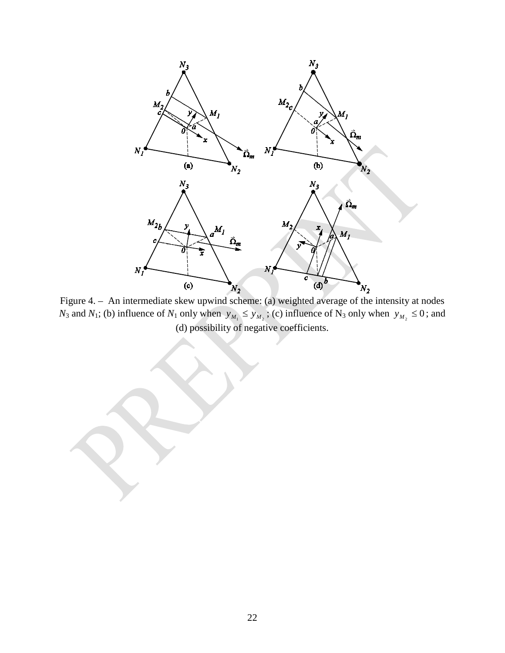

Figure 4. – An intermediate skew upwind scheme: (a) weighted average of the intensity at nodes *N*<sub>3</sub> and *N*<sub>1</sub>; (b) influence of *N*<sub>1</sub> only when  $y_{M_1} \le y_{M_2}$ ; (c) influence of N<sub>3</sub> only when  $y_{M_2} \le 0$ ; and (d) possibility of negative coefficients.